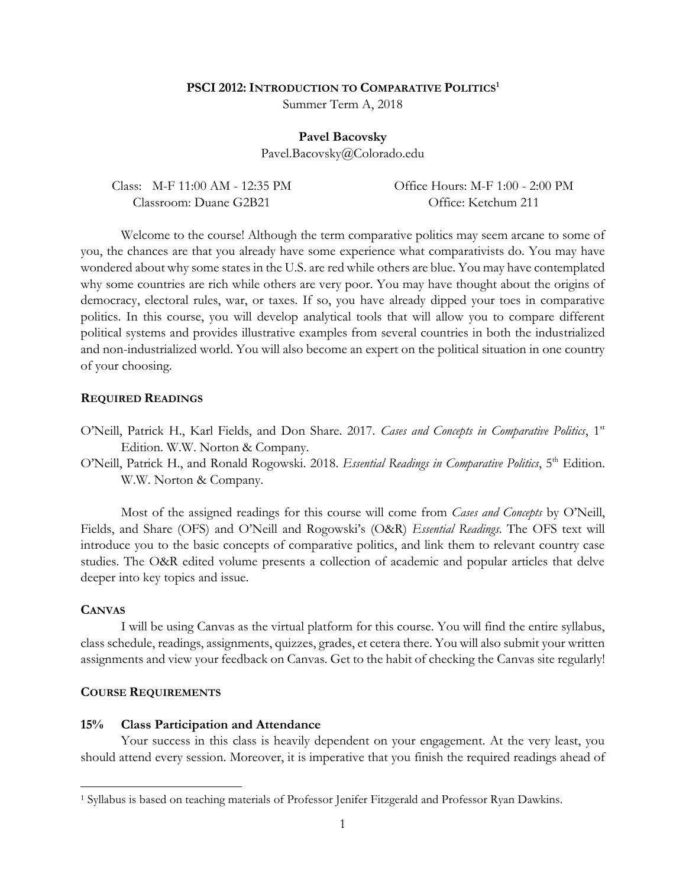### **PSCI 2012:INTRODUCTION TO COMPARATIVE POLITICS<sup>1</sup>**

Summer Term A, 2018

#### **Pavel Bacovsky**

Pavel.Bacovsky@Colorado.edu

| Class: M-F 11:00 AM - 12:35 PM | Office Hours: M-F 1:00 - 2:00 PM |
|--------------------------------|----------------------------------|
| Classroom: Duane G2B21         | Office: Ketchum 211              |

Welcome to the course! Although the term comparative politics may seem arcane to some of you, the chances are that you already have some experience what comparativists do. You may have wondered about why some states in the U.S. are red while others are blue. You may have contemplated why some countries are rich while others are very poor. You may have thought about the origins of democracy, electoral rules, war, or taxes. If so, you have already dipped your toes in comparative politics. In this course, you will develop analytical tools that will allow you to compare different political systems and provides illustrative examples from several countries in both the industrialized and non-industrialized world. You will also become an expert on the political situation in one country of your choosing.

### **REQUIRED READINGS**

- O'Neill, Patrick H., Karl Fields, and Don Share. 2017. *Cases and Concepts in Comparative Politics*, 1st Edition. W.W. Norton & Company.
- O'Neill, Patrick H., and Ronald Rogowski. 2018. *Essential Readings in Comparative Politics*, 5<sup>th</sup> Edition. W.W. Norton & Company.

Most of the assigned readings for this course will come from *Cases and Concepts* by O'Neill, Fields, and Share (OFS) and O'Neill and Rogowski's (O&R) *Essential Readings*. The OFS text will introduce you to the basic concepts of comparative politics, and link them to relevant country case studies. The O&R edited volume presents a collection of academic and popular articles that delve deeper into key topics and issue.

# **CANVAS**

 $\overline{\phantom{a}}$ 

I will be using Canvas as the virtual platform for this course. You will find the entire syllabus, class schedule, readings, assignments, quizzes, grades, et cetera there. You will also submit your written assignments and view your feedback on Canvas. Get to the habit of checking the Canvas site regularly!

### **COURSE REQUIREMENTS**

#### **15% Class Participation and Attendance**

Your success in this class is heavily dependent on your engagement. At the very least, you should attend every session. Moreover, it is imperative that you finish the required readings ahead of

<sup>1</sup> Syllabus is based on teaching materials of Professor Jenifer Fitzgerald and Professor Ryan Dawkins.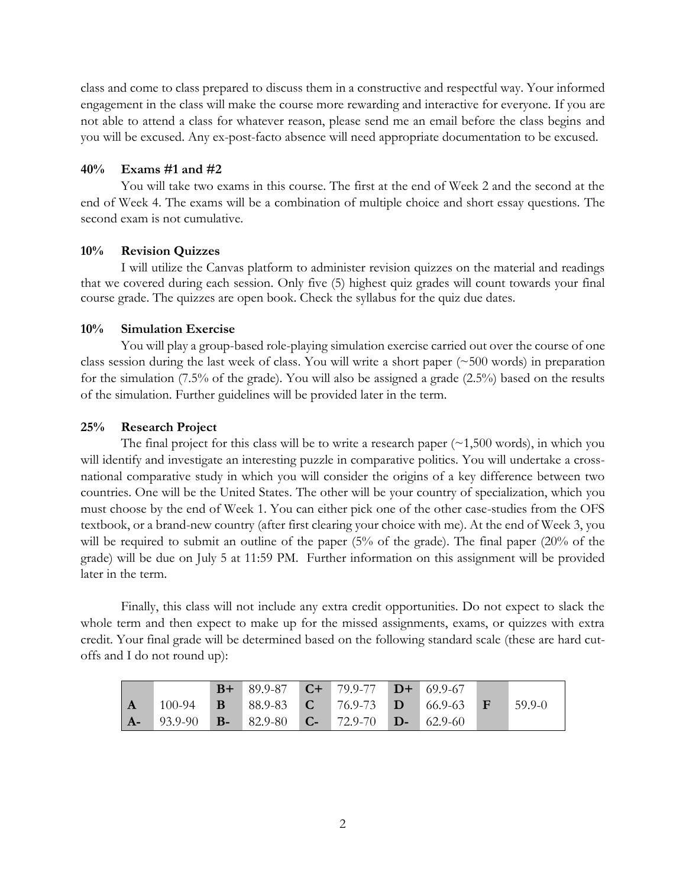class and come to class prepared to discuss them in a constructive and respectful way. Your informed engagement in the class will make the course more rewarding and interactive for everyone. If you are not able to attend a class for whatever reason, please send me an email before the class begins and you will be excused. Any ex-post-facto absence will need appropriate documentation to be excused.

# **40% Exams #1 and #2**

You will take two exams in this course. The first at the end of Week 2 and the second at the end of Week 4. The exams will be a combination of multiple choice and short essay questions. The second exam is not cumulative.

## **10% Revision Quizzes**

I will utilize the Canvas platform to administer revision quizzes on the material and readings that we covered during each session. Only five (5) highest quiz grades will count towards your final course grade. The quizzes are open book. Check the syllabus for the quiz due dates.

# **10% Simulation Exercise**

You will play a group-based role-playing simulation exercise carried out over the course of one class session during the last week of class. You will write a short paper (~500 words) in preparation for the simulation (7.5% of the grade). You will also be assigned a grade (2.5%) based on the results of the simulation. Further guidelines will be provided later in the term.

## **25% Research Project**

The final project for this class will be to write a research paper  $(\sim 1,500$  words), in which you will identify and investigate an interesting puzzle in comparative politics. You will undertake a crossnational comparative study in which you will consider the origins of a key difference between two countries. One will be the United States. The other will be your country of specialization, which you must choose by the end of Week 1. You can either pick one of the other case-studies from the OFS textbook, or a brand-new country (after first clearing your choice with me). At the end of Week 3, you will be required to submit an outline of the paper (5% of the grade). The final paper (20% of the grade) will be due on July 5 at 11:59 PM. Further information on this assignment will be provided later in the term.

Finally, this class will not include any extra credit opportunities. Do not expect to slack the whole term and then expect to make up for the missed assignments, exams, or quizzes with extra credit. Your final grade will be determined based on the following standard scale (these are hard cutoffs and I do not round up):

|                                                                         | <b>B+</b> 89.9-87 <b>C+</b> 79.9-77 <b>D+</b> 69.9-67 |  |                                                             |        |
|-------------------------------------------------------------------------|-------------------------------------------------------|--|-------------------------------------------------------------|--------|
| $100-94$                                                                |                                                       |  | <b>B</b> 88.9-83 <b>C</b> 76.9-73 <b>D</b> 66.9-63 <b>F</b> | 59.9-0 |
| <b>A.</b> 93.9-90 <b>B.</b> 82.9-80 <b>C.</b> 72.9-70 <b>D.</b> 62.9-60 |                                                       |  |                                                             |        |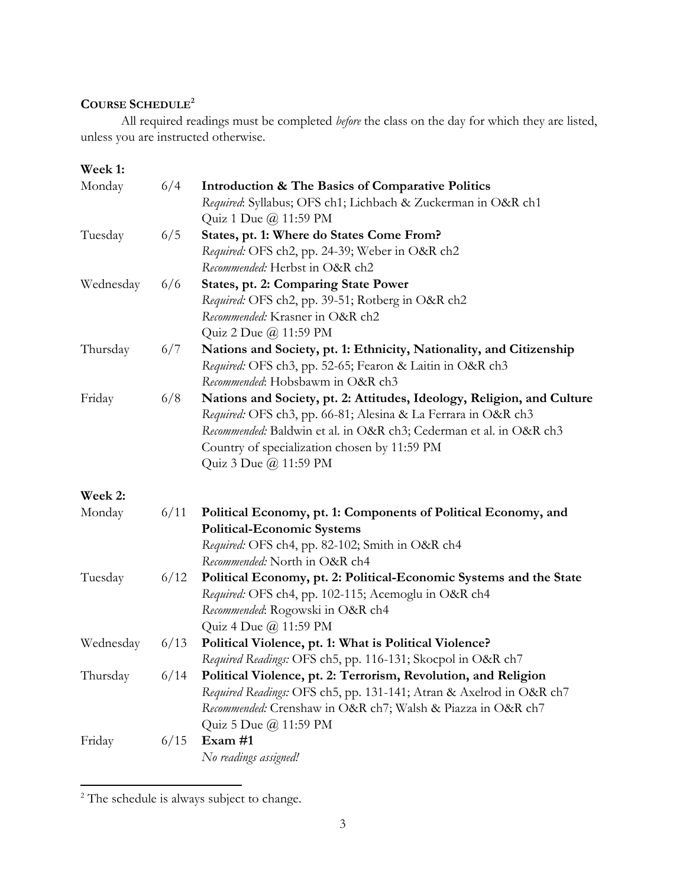# **COURSE SCHEDULE<sup>2</sup>**

All required readings must be completed *before* the class on the day for which they are listed, unless you are instructed otherwise.

**Week 1:** Monday 6/4 **Introduction & The Basics of Comparative Politics** *Required*: Syllabus; OFS ch1; Lichbach & Zuckerman in O&R ch1 Quiz 1 Due @ 11:59 PM Tuesday 6/5 **States, pt. 1: Where do States Come From?** *Required:* OFS ch2, pp. 24-39; Weber in O&R ch2 *Recommended:* Herbst in O&R ch2 Wednesday 6/6 **States, pt. 2: Comparing State Power** *Required:* OFS ch2, pp. 39-51; Rotberg in O&R ch2 *Recommended:* Krasner in O&R ch2 Quiz 2 Due @ 11:59 PM Thursday 6/7 **Nations and Society, pt. 1: Ethnicity, Nationality, and Citizenship** *Required:* OFS ch3, pp. 52-65; Fearon & Laitin in O&R ch3 *Recommended*: Hobsbawm in O&R ch3 Friday 6/8 **Nations and Society, pt. 2: Attitudes, Ideology, Religion, and Culture** *Required:* OFS ch3, pp. 66-81; Alesina & La Ferrara in O&R ch3 *Recommended:* Baldwin et al. in O&R ch3; Cederman et al. in O&R ch3 Country of specialization chosen by 11:59 PM Quiz 3 Due @ 11:59 PM **Week 2:** Monday 6/11 **Political Economy, pt. 1: Components of Political Economy, and Political-Economic Systems** *Required:* OFS ch4, pp. 82-102; Smith in O&R ch4 *Recommended:* North in O&R ch4 Tuesday 6/12 **Political Economy, pt. 2: Political-Economic Systems and the State** *Required:* OFS ch4, pp. 102-115; Acemoglu in O&R ch4 *Recommended*: Rogowski in O&R ch4 Quiz 4 Due @ 11:59 PM Wednesday 6/13 **Political Violence, pt. 1: What is Political Violence?** *Required Readings:* OFS ch5, pp. 116-131; Skocpol in O&R ch7 Thursday 6/14 **Political Violence, pt. 2: Terrorism, Revolution, and Religion** *Required Readings:* OFS ch5, pp. 131-141; Atran & Axelrod in O&R ch7 *Recommended:* Crenshaw in O&R ch7; Walsh & Piazza in O&R ch7 Quiz 5 Due @ 11:59 PM Friday 6/15 **Exam #1** *No readings assigned!*

 $\overline{\phantom{a}}$ 

<sup>&</sup>lt;sup>2</sup> The schedule is always subject to change.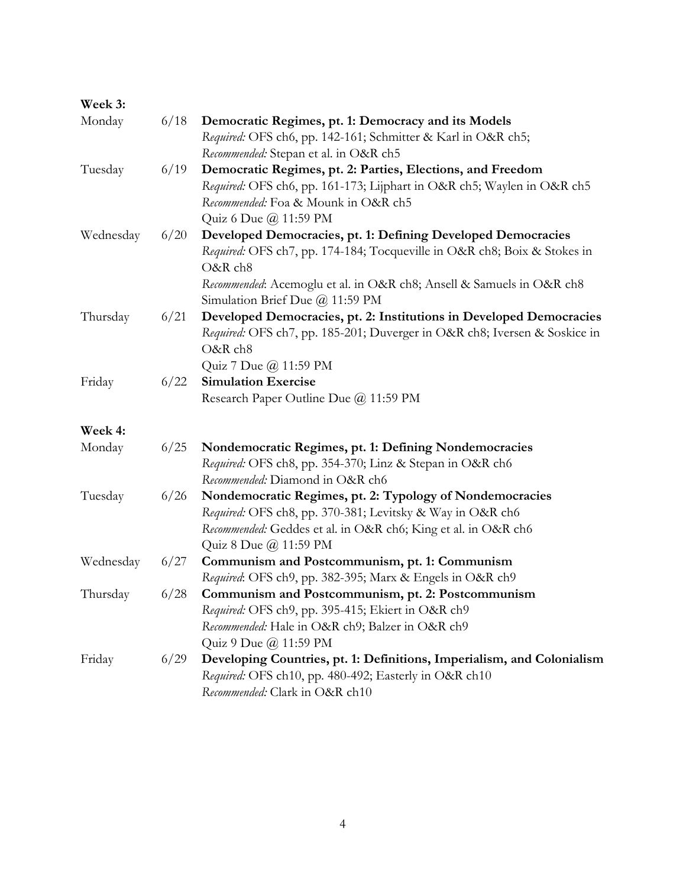| Week 3:   |      |                                                                                                                                                                   |
|-----------|------|-------------------------------------------------------------------------------------------------------------------------------------------------------------------|
| Monday    | 6/18 | Democratic Regimes, pt. 1: Democracy and its Models                                                                                                               |
|           |      | Required: OFS ch6, pp. 142-161; Schmitter & Karl in O&R ch5;                                                                                                      |
|           |      | Recommended: Stepan et al. in O&R ch5                                                                                                                             |
| Tuesday   | 6/19 | Democratic Regimes, pt. 2: Parties, Elections, and Freedom                                                                                                        |
|           |      | Required: OFS ch6, pp. 161-173; Lijphart in O&R ch5; Waylen in O&R ch5                                                                                            |
|           |      | Recommended: Foa & Mounk in O&R ch5                                                                                                                               |
|           |      | Quiz 6 Due @ 11:59 PM                                                                                                                                             |
| Wednesday | 6/20 | Developed Democracies, pt. 1: Defining Developed Democracies                                                                                                      |
|           |      | Required: OFS ch7, pp. 174-184; Tocqueville in O&R ch8; Boix & Stokes in<br>O&R ch8                                                                               |
|           |      | Recommended: Acemoglu et al. in O&R ch8; Ansell & Samuels in O&R ch8<br>Simulation Brief Due @ 11:59 PM                                                           |
| Thursday  | 6/21 | Developed Democracies, pt. 2: Institutions in Developed Democracies                                                                                               |
|           |      | Required: OFS ch7, pp. 185-201; Duverger in O&R ch8; Iversen & Soskice in                                                                                         |
|           |      | O&R ch8                                                                                                                                                           |
|           |      | Quiz 7 Due @ 11:59 PM                                                                                                                                             |
| Friday    | 6/22 | <b>Simulation Exercise</b>                                                                                                                                        |
|           |      | Research Paper Outline Due @ 11:59 PM                                                                                                                             |
| Week 4:   |      |                                                                                                                                                                   |
| Monday    | 6/25 | Nondemocratic Regimes, pt. 1: Defining Nondemocracies                                                                                                             |
|           |      | Required: OFS ch8, pp. 354-370; Linz & Stepan in O&R ch6                                                                                                          |
|           |      | Recommended: Diamond in O&R ch6                                                                                                                                   |
| Tuesday   | 6/26 | Nondemocratic Regimes, pt. 2: Typology of Nondemocracies                                                                                                          |
|           |      | Required: OFS ch8, pp. 370-381; Levitsky & Way in O&R ch6                                                                                                         |
|           |      | Recommended: Geddes et al. in O&R ch6; King et al. in O&R ch6                                                                                                     |
|           |      | Quiz 8 Due @ 11:59 PM                                                                                                                                             |
| Wednesday | 6/27 | Communism and Postcommunism, pt. 1: Communism                                                                                                                     |
|           |      | Required: OFS ch9, pp. 382-395; Marx & Engels in O&R ch9                                                                                                          |
| Thursday  | 6/28 | Communism and Postcommunism, pt. 2: Postcommunism                                                                                                                 |
|           |      | Required: OFS ch9, pp. 395-415; Ekiert in O&R ch9                                                                                                                 |
|           |      | Recommended: Hale in O&R ch9; Balzer in O&R ch9                                                                                                                   |
|           |      | Quiz 9 Due @ 11:59 PM                                                                                                                                             |
|           |      |                                                                                                                                                                   |
|           |      |                                                                                                                                                                   |
| Friday    | 6/29 | Developing Countries, pt. 1: Definitions, Imperialism, and Colonialism<br>Required: OFS ch10, pp. 480-492; Easterly in O&R ch10<br>Recommended: Clark in O&R ch10 |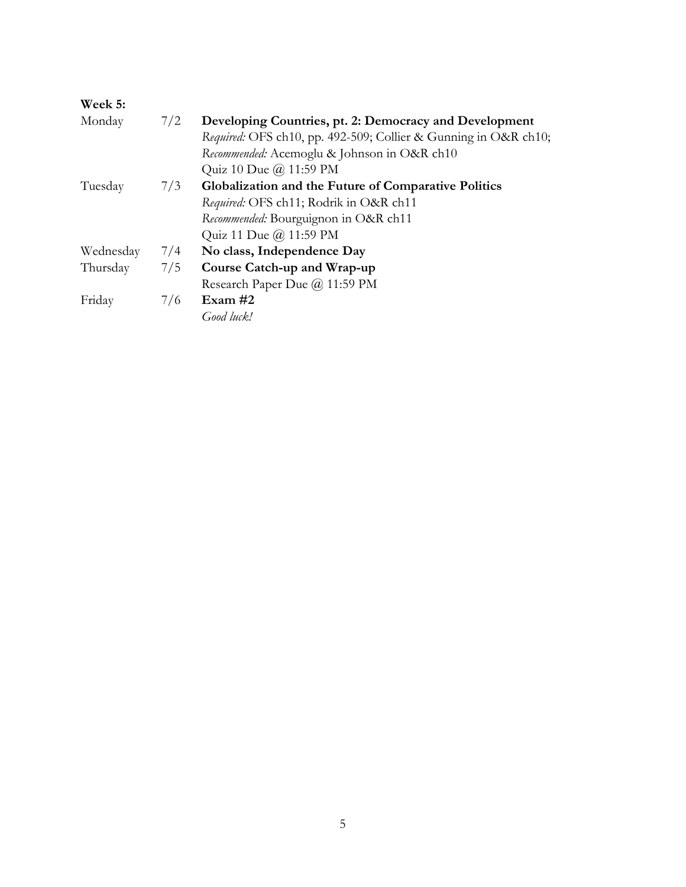| Week 5:   |     |                                                                 |
|-----------|-----|-----------------------------------------------------------------|
| Monday    | 7/2 | Developing Countries, pt. 2: Democracy and Development          |
|           |     | Required: OFS ch10, pp. 492-509; Collier & Gunning in O&R ch10; |
|           |     | Recommended: Acemoglu & Johnson in O&R ch10                     |
|           |     | Quiz 10 Due @ 11:59 PM                                          |
| Tuesday   | 7/3 | Globalization and the Future of Comparative Politics            |
|           |     | Required: OFS ch11; Rodrik in O&R ch11                          |
|           |     | Recommended: Bourguignon in O&R ch11                            |
|           |     | Quiz 11 Due @ 11:59 PM                                          |
| Wednesday | 7/4 | No class, Independence Day                                      |
| Thursday  | 7/5 | Course Catch-up and Wrap-up                                     |
|           |     | Research Paper Due @ 11:59 PM                                   |
| Friday    | 7/6 | Exam $#2$                                                       |
|           |     | Good luck!                                                      |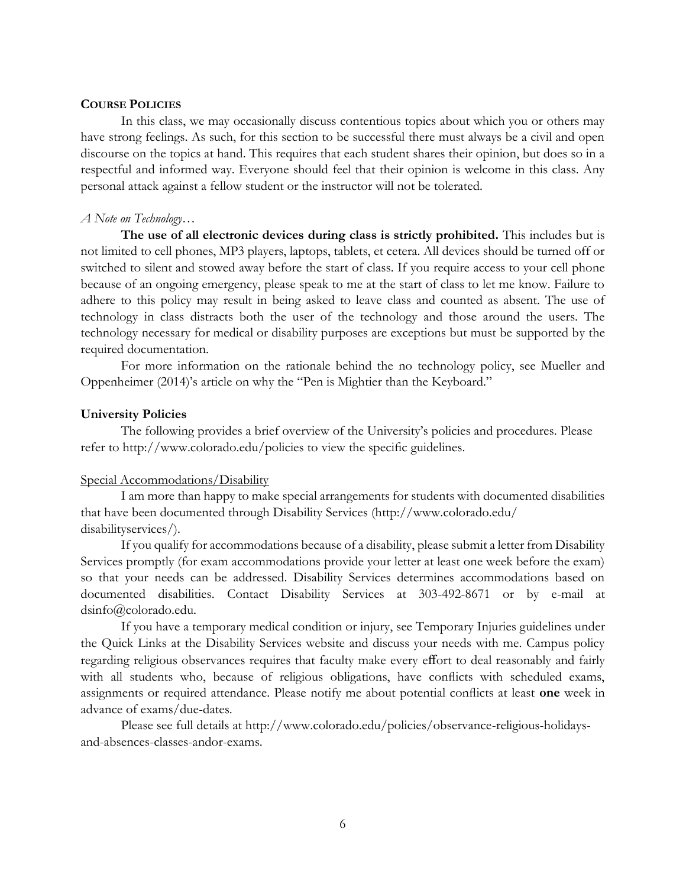# **COURSE POLICIES**

In this class, we may occasionally discuss contentious topics about which you or others may have strong feelings. As such, for this section to be successful there must always be a civil and open discourse on the topics at hand. This requires that each student shares their opinion, but does so in a respectful and informed way. Everyone should feel that their opinion is welcome in this class. Any personal attack against a fellow student or the instructor will not be tolerated.

### *A Note on Technology…*

**The use of all electronic devices during class is strictly prohibited.** This includes but is not limited to cell phones, MP3 players, laptops, tablets, et cetera. All devices should be turned off or switched to silent and stowed away before the start of class. If you require access to your cell phone because of an ongoing emergency, please speak to me at the start of class to let me know. Failure to adhere to this policy may result in being asked to leave class and counted as absent. The use of technology in class distracts both the user of the technology and those around the users. The technology necessary for medical or disability purposes are exceptions but must be supported by the required documentation.

For more information on the rationale behind the no technology policy, see Mueller and Oppenheimer (2014)'s article on why the "Pen is Mightier than the Keyboard."

## **University Policies**

The following provides a brief overview of the University's policies and procedures. Please refer to http://www.colorado.edu/policies to view the specific guidelines.

# Special Accommodations/Disability

I am more than happy to make special arrangements for students with documented disabilities that have been documented through Disability Services (http://www.colorado.edu/ disabilityservices/).

If you qualify for accommodations because of a disability, please submit a letter from Disability Services promptly (for exam accommodations provide your letter at least one week before the exam) so that your needs can be addressed. Disability Services determines accommodations based on documented disabilities. Contact Disability Services at 303-492-8671 or by e-mail at dsinfo@colorado.edu.

If you have a temporary medical condition or injury, see Temporary Injuries guidelines under the Quick Links at the Disability Services website and discuss your needs with me. Campus policy regarding religious observances requires that faculty make every effort to deal reasonably and fairly with all students who, because of religious obligations, have conflicts with scheduled exams, assignments or required attendance. Please notify me about potential conflicts at least **one** week in advance of exams/due-dates.

Please see full details at http://www.colorado.edu/policies/observance-religious-holidaysand-absences-classes-andor-exams.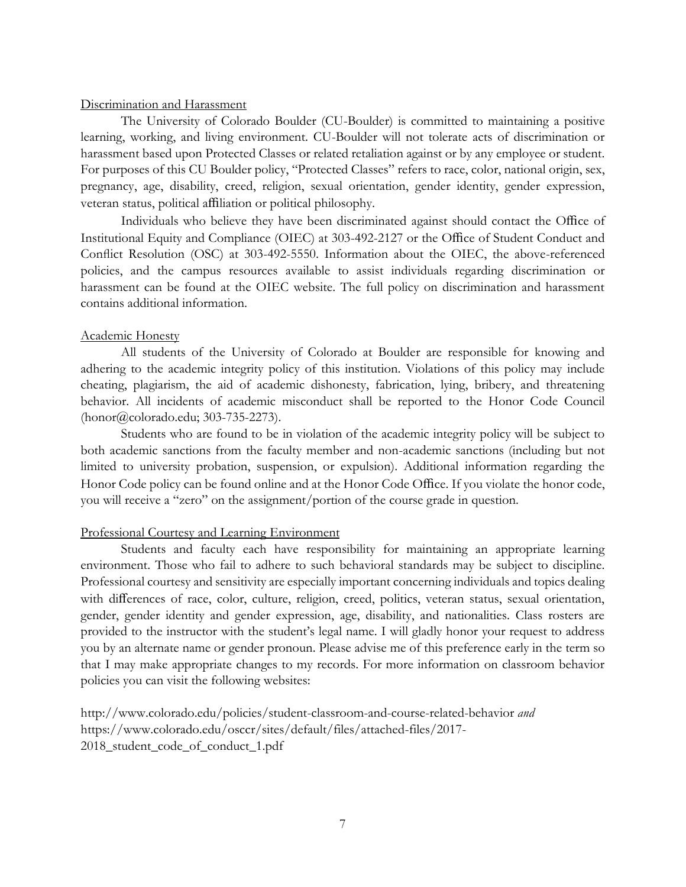# Discrimination and Harassment

The University of Colorado Boulder (CU-Boulder) is committed to maintaining a positive learning, working, and living environment. CU-Boulder will not tolerate acts of discrimination or harassment based upon Protected Classes or related retaliation against or by any employee or student. For purposes of this CU Boulder policy, "Protected Classes" refers to race, color, national origin, sex, pregnancy, age, disability, creed, religion, sexual orientation, gender identity, gender expression, veteran status, political affiliation or political philosophy.

Individuals who believe they have been discriminated against should contact the Office of Institutional Equity and Compliance (OIEC) at 303-492-2127 or the Office of Student Conduct and Conflict Resolution (OSC) at 303-492-5550. Information about the OIEC, the above-referenced policies, and the campus resources available to assist individuals regarding discrimination or harassment can be found at the OIEC website. The full policy on discrimination and harassment contains additional information.

## Academic Honesty

All students of the University of Colorado at Boulder are responsible for knowing and adhering to the academic integrity policy of this institution. Violations of this policy may include cheating, plagiarism, the aid of academic dishonesty, fabrication, lying, bribery, and threatening behavior. All incidents of academic misconduct shall be reported to the Honor Code Council (honor@colorado.edu; 303-735-2273).

Students who are found to be in violation of the academic integrity policy will be subject to both academic sanctions from the faculty member and non-academic sanctions (including but not limited to university probation, suspension, or expulsion). Additional information regarding the Honor Code policy can be found online and at the Honor Code Office. If you violate the honor code, you will receive a "zero" on the assignment/portion of the course grade in question.

# Professional Courtesy and Learning Environment

Students and faculty each have responsibility for maintaining an appropriate learning environment. Those who fail to adhere to such behavioral standards may be subject to discipline. Professional courtesy and sensitivity are especially important concerning individuals and topics dealing with differences of race, color, culture, religion, creed, politics, veteran status, sexual orientation, gender, gender identity and gender expression, age, disability, and nationalities. Class rosters are provided to the instructor with the student's legal name. I will gladly honor your request to address you by an alternate name or gender pronoun. Please advise me of this preference early in the term so that I may make appropriate changes to my records. For more information on classroom behavior policies you can visit the following websites:

http://www.colorado.edu/policies/student-classroom-and-course-related-behavior *and* https://www.colorado.edu/osccr/sites/default/files/attached-files/2017- 2018 student code of conduct 1.pdf